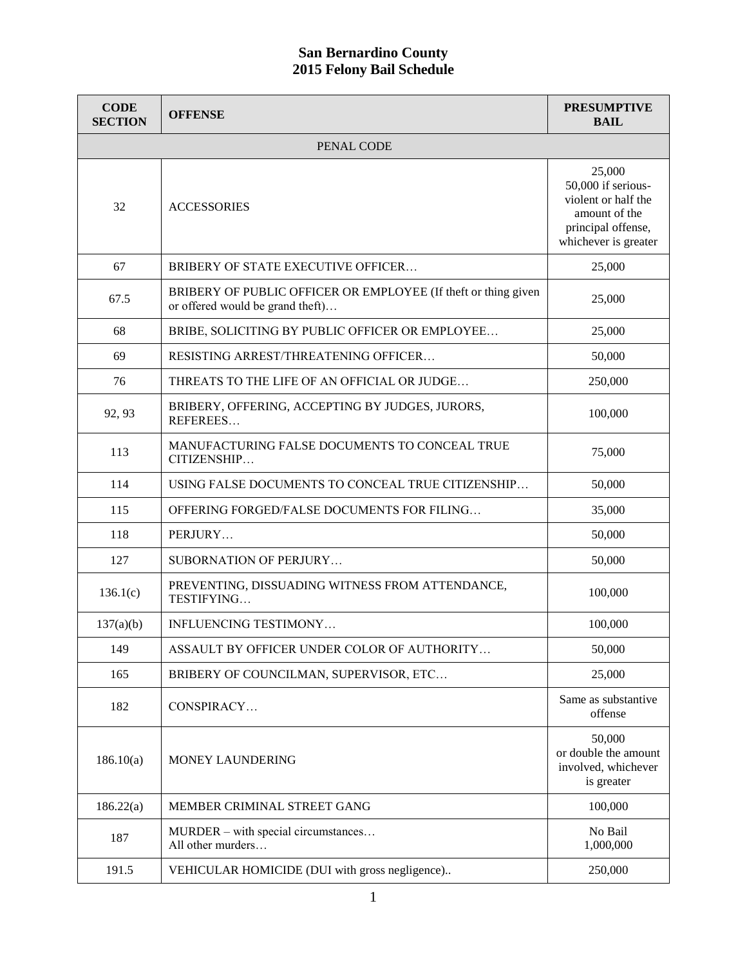| <b>CODE</b><br><b>SECTION</b> | <b>OFFENSE</b>                                                                                     | <b>PRESUMPTIVE</b><br><b>BAIL</b>                                                                                  |
|-------------------------------|----------------------------------------------------------------------------------------------------|--------------------------------------------------------------------------------------------------------------------|
|                               | PENAL CODE                                                                                         |                                                                                                                    |
| 32                            | <b>ACCESSORIES</b>                                                                                 | 25,000<br>50,000 if serious-<br>violent or half the<br>amount of the<br>principal offense,<br>whichever is greater |
| 67                            | BRIBERY OF STATE EXECUTIVE OFFICER                                                                 | 25,000                                                                                                             |
| 67.5                          | BRIBERY OF PUBLIC OFFICER OR EMPLOYEE (If theft or thing given<br>or offered would be grand theft) | 25,000                                                                                                             |
| 68                            | BRIBE, SOLICITING BY PUBLIC OFFICER OR EMPLOYEE                                                    | 25,000                                                                                                             |
| 69                            | RESISTING ARREST/THREATENING OFFICER                                                               | 50,000                                                                                                             |
| 76                            | THREATS TO THE LIFE OF AN OFFICIAL OR JUDGE                                                        | 250,000                                                                                                            |
| 92, 93                        | BRIBERY, OFFERING, ACCEPTING BY JUDGES, JURORS,<br>REFEREES                                        | 100,000                                                                                                            |
| 113                           | MANUFACTURING FALSE DOCUMENTS TO CONCEAL TRUE<br>CITIZENSHIP                                       | 75,000                                                                                                             |
| 114                           | USING FALSE DOCUMENTS TO CONCEAL TRUE CITIZENSHIP                                                  | 50,000                                                                                                             |
| 115                           | OFFERING FORGED/FALSE DOCUMENTS FOR FILING                                                         | 35,000                                                                                                             |
| 118                           | PERJURY                                                                                            | 50,000                                                                                                             |
| 127                           | <b>SUBORNATION OF PERJURY</b>                                                                      | 50,000                                                                                                             |
| 136.1(c)                      | PREVENTING, DISSUADING WITNESS FROM ATTENDANCE,<br>TESTIFYING                                      | 100,000                                                                                                            |
| 137(a)(b)                     | <b>INFLUENCING TESTIMONY</b>                                                                       | 100,000                                                                                                            |
| 149                           | ASSAULT BY OFFICER UNDER COLOR OF AUTHORITY                                                        | 50,000                                                                                                             |
| 165                           | BRIBERY OF COUNCILMAN, SUPERVISOR, ETC                                                             | 25,000                                                                                                             |
| 182                           | CONSPIRACY                                                                                         | Same as substantive<br>offense                                                                                     |
| 186.10(a)                     | <b>MONEY LAUNDERING</b>                                                                            | 50,000<br>or double the amount<br>involved, whichever<br>is greater                                                |
| 186.22(a)                     | MEMBER CRIMINAL STREET GANG                                                                        | 100,000                                                                                                            |
| 187                           | MURDER - with special circumstances<br>All other murders                                           | No Bail<br>1,000,000                                                                                               |
| 191.5                         | VEHICULAR HOMICIDE (DUI with gross negligence)                                                     | 250,000                                                                                                            |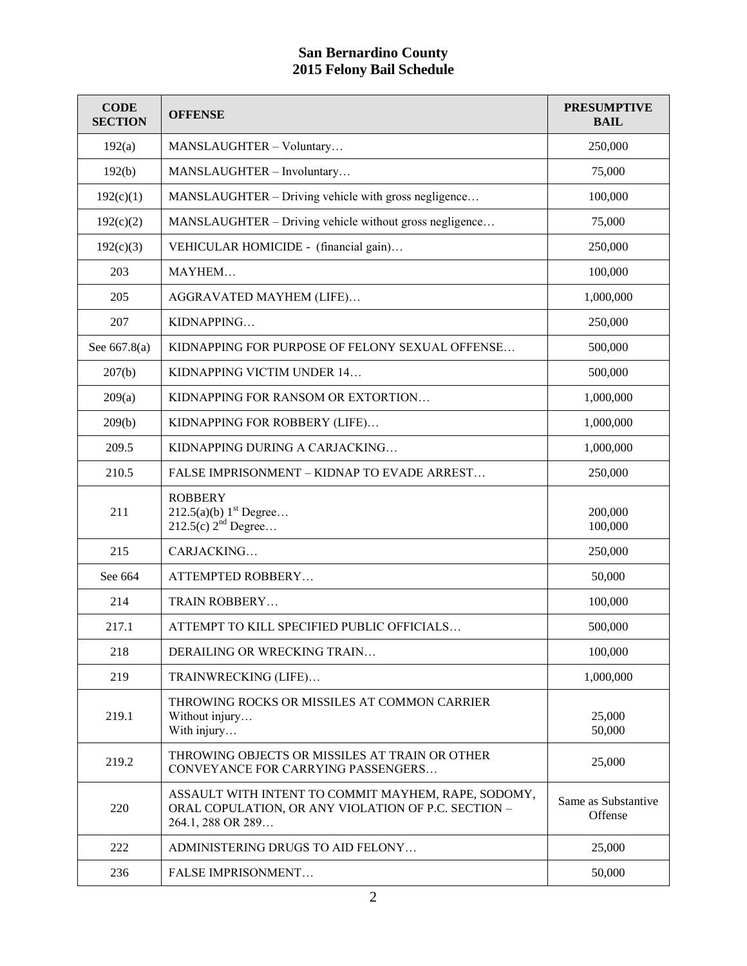| <b>CODE</b><br><b>SECTION</b> | <b>OFFENSE</b>                                                                                                                  | <b>PRESUMPTIVE</b><br><b>BAIL</b> |
|-------------------------------|---------------------------------------------------------------------------------------------------------------------------------|-----------------------------------|
| 192(a)                        | MANSLAUGHTER - Voluntary                                                                                                        | 250,000                           |
| 192(b)                        | MANSLAUGHTER - Involuntary                                                                                                      | 75,000                            |
| 192(c)(1)                     | MANSLAUGHTER – Driving vehicle with gross negligence                                                                            | 100,000                           |
| 192(c)(2)                     | MANSLAUGHTER – Driving vehicle without gross negligence                                                                         | 75,000                            |
| 192(c)(3)                     | VEHICULAR HOMICIDE - (financial gain)                                                                                           | 250,000                           |
| 203                           | MAYHEM                                                                                                                          | 100,000                           |
| 205                           | AGGRAVATED MAYHEM (LIFE)                                                                                                        | 1,000,000                         |
| 207                           | KIDNAPPING                                                                                                                      | 250,000                           |
| See 667.8(a)                  | KIDNAPPING FOR PURPOSE OF FELONY SEXUAL OFFENSE                                                                                 | 500,000                           |
| 207(b)                        | KIDNAPPING VICTIM UNDER 14                                                                                                      | 500,000                           |
| 209(a)                        | KIDNAPPING FOR RANSOM OR EXTORTION                                                                                              | 1,000,000                         |
| 209(b)                        | KIDNAPPING FOR ROBBERY (LIFE)                                                                                                   | 1,000,000                         |
| 209.5                         | KIDNAPPING DURING A CARJACKING                                                                                                  | 1,000,000                         |
| 210.5                         | FALSE IMPRISONMENT - KIDNAP TO EVADE ARREST                                                                                     | 250,000                           |
| 211                           | <b>ROBBERY</b><br>212.5(a)(b) 1 <sup>st</sup> Degree<br>$212.5(c)$ $2^{nd}$ Degree                                              | 200,000<br>100,000                |
| 215                           | CARJACKING                                                                                                                      | 250,000                           |
| See 664                       | ATTEMPTED ROBBERY                                                                                                               | 50,000                            |
| 214                           | TRAIN ROBBERY                                                                                                                   | 100,000                           |
| 217.1                         | ATTEMPT TO KILL SPECIFIED PUBLIC OFFICIALS                                                                                      | 500,000                           |
| 218                           | DERAILING OR WRECKING TRAIN                                                                                                     | 100,000                           |
| 219                           | TRAINWRECKING (LIFE)                                                                                                            | 1,000,000                         |
| 219.1                         | THROWING ROCKS OR MISSILES AT COMMON CARRIER<br>Without injury<br>With injury                                                   | 25,000<br>50,000                  |
| 219.2                         | THROWING OBJECTS OR MISSILES AT TRAIN OR OTHER<br>CONVEYANCE FOR CARRYING PASSENGERS                                            | 25,000                            |
| 220                           | ASSAULT WITH INTENT TO COMMIT MAYHEM, RAPE, SODOMY,<br>ORAL COPULATION, OR ANY VIOLATION OF P.C. SECTION -<br>264.1, 288 OR 289 | Same as Substantive<br>Offense    |
| 222                           | ADMINISTERING DRUGS TO AID FELONY                                                                                               | 25,000                            |
| 236                           | <b>FALSE IMPRISONMENT</b>                                                                                                       | 50,000                            |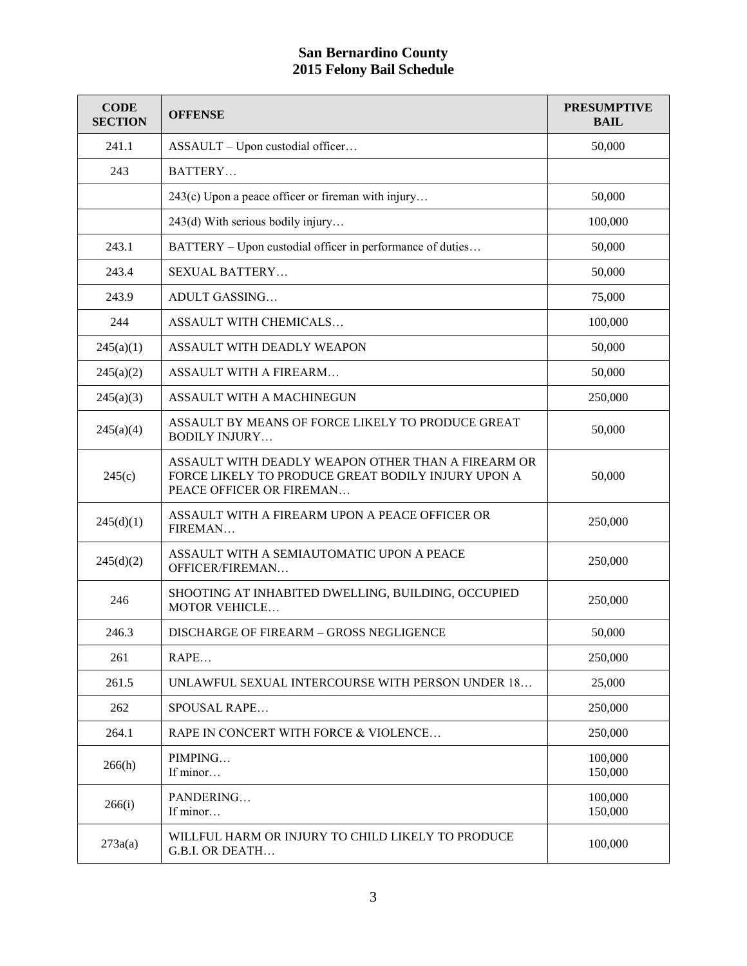| <b>CODE</b><br><b>SECTION</b> | <b>OFFENSE</b>                                                                                                                       | <b>PRESUMPTIVE</b><br><b>BAIL</b> |
|-------------------------------|--------------------------------------------------------------------------------------------------------------------------------------|-----------------------------------|
| 241.1                         | ASSAULT - Upon custodial officer                                                                                                     | 50,000                            |
| 243                           | BATTERY                                                                                                                              |                                   |
|                               | 243(c) Upon a peace officer or fireman with injury                                                                                   | 50,000                            |
|                               | 243(d) With serious bodily injury                                                                                                    | 100,000                           |
| 243.1                         | BATTERY – Upon custodial officer in performance of duties                                                                            | 50,000                            |
| 243.4                         | <b>SEXUAL BATTERY</b>                                                                                                                | 50,000                            |
| 243.9                         | ADULT GASSING                                                                                                                        | 75,000                            |
| 244                           | <b>ASSAULT WITH CHEMICALS</b>                                                                                                        | 100,000                           |
| 245(a)(1)                     | ASSAULT WITH DEADLY WEAPON                                                                                                           | 50,000                            |
| 245(a)(2)                     | <b>ASSAULT WITH A FIREARM</b>                                                                                                        | 50,000                            |
| 245(a)(3)                     | ASSAULT WITH A MACHINEGUN                                                                                                            | 250,000                           |
| 245(a)(4)                     | ASSAULT BY MEANS OF FORCE LIKELY TO PRODUCE GREAT<br><b>BODILY INJURY</b>                                                            | 50,000                            |
| 245(c)                        | ASSAULT WITH DEADLY WEAPON OTHER THAN A FIREARM OR<br>FORCE LIKELY TO PRODUCE GREAT BODILY INJURY UPON A<br>PEACE OFFICER OR FIREMAN | 50,000                            |
| 245(d)(1)                     | ASSAULT WITH A FIREARM UPON A PEACE OFFICER OR<br>FIREMAN                                                                            | 250,000                           |
| 245(d)(2)                     | ASSAULT WITH A SEMIAUTOMATIC UPON A PEACE<br>OFFICER/FIREMAN                                                                         | 250,000                           |
| 246                           | SHOOTING AT INHABITED DWELLING, BUILDING, OCCUPIED<br><b>MOTOR VEHICLE</b>                                                           | 250,000                           |
| 246.3                         | DISCHARGE OF FIREARM - GROSS NEGLIGENCE                                                                                              | 50,000                            |
| 261                           | RAPE                                                                                                                                 | 250,000                           |
| 261.5                         | UNLAWFUL SEXUAL INTERCOURSE WITH PERSON UNDER 18                                                                                     | 25,000                            |
| 262                           | <b>SPOUSAL RAPE</b>                                                                                                                  | 250,000                           |
| 264.1                         | RAPE IN CONCERT WITH FORCE & VIOLENCE                                                                                                | 250,000                           |
| 266(h)                        | PIMPING<br>If minor                                                                                                                  | 100,000<br>150,000                |
| 266(i)                        | PANDERING<br>If minor                                                                                                                | 100,000<br>150,000                |
| 273a(a)                       | WILLFUL HARM OR INJURY TO CHILD LIKELY TO PRODUCE<br>G.B.I. OR DEATH                                                                 | 100,000                           |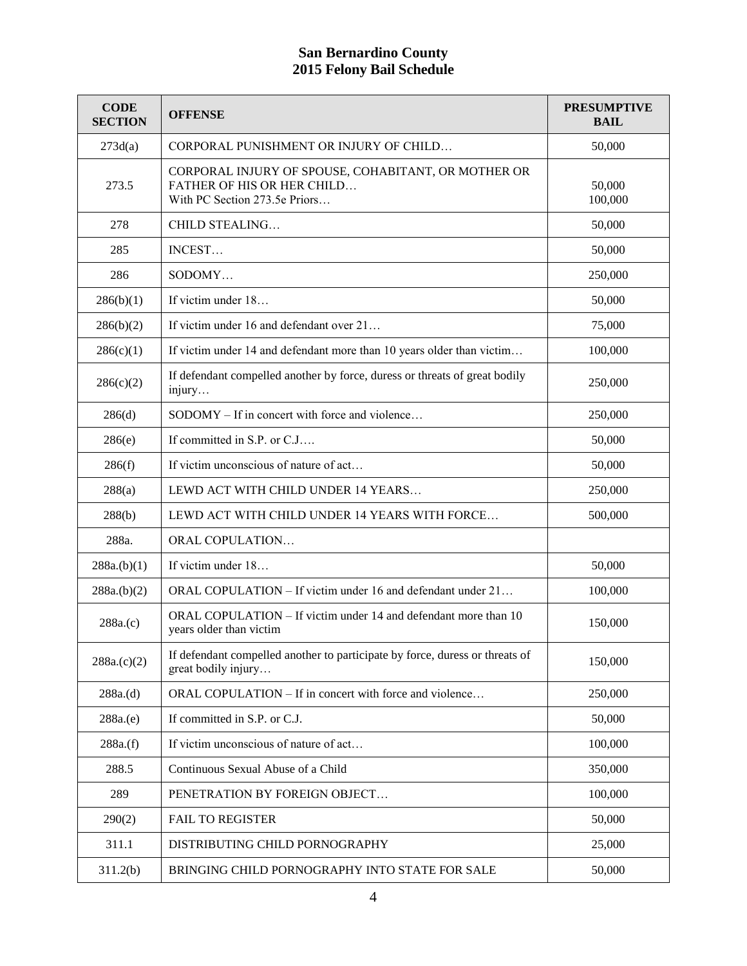| <b>CODE</b><br><b>SECTION</b> | <b>OFFENSE</b>                                                                                                            | <b>PRESUMPTIVE</b><br><b>BAIL</b> |
|-------------------------------|---------------------------------------------------------------------------------------------------------------------------|-----------------------------------|
| 273d(a)                       | CORPORAL PUNISHMENT OR INJURY OF CHILD                                                                                    | 50,000                            |
| 273.5                         | CORPORAL INJURY OF SPOUSE, COHABITANT, OR MOTHER OR<br><b>FATHER OF HIS OR HER CHILD</b><br>With PC Section 273.5e Priors | 50,000<br>100,000                 |
| 278                           | CHILD STEALING                                                                                                            | 50,000                            |
| 285                           | INCEST                                                                                                                    | 50,000                            |
| 286                           | SODOMY                                                                                                                    | 250,000                           |
| 286(b)(1)                     | If victim under 18                                                                                                        | 50,000                            |
| 286(b)(2)                     | If victim under 16 and defendant over 21                                                                                  | 75,000                            |
| 286(c)(1)                     | If victim under 14 and defendant more than 10 years older than victim                                                     | 100,000                           |
| 286(c)(2)                     | If defendant compelled another by force, duress or threats of great bodily<br>injury                                      | 250,000                           |
| 286(d)                        | SODOMY – If in concert with force and violence                                                                            | 250,000                           |
| 286(e)                        | If committed in S.P. or C.J                                                                                               | 50,000                            |
| 286(f)                        | If victim unconscious of nature of act                                                                                    | 50,000                            |
| 288(a)                        | LEWD ACT WITH CHILD UNDER 14 YEARS                                                                                        | 250,000                           |
| 288(b)                        | LEWD ACT WITH CHILD UNDER 14 YEARS WITH FORCE                                                                             | 500,000                           |
| 288a.                         | ORAL COPULATION                                                                                                           |                                   |
| 288a.(b)(1)                   | If victim under 18                                                                                                        | 50,000                            |
| 288a.(b)(2)                   | ORAL COPULATION – If victim under 16 and defendant under 21                                                               | 100,000                           |
| 288a(c)                       | ORAL COPULATION - If victim under 14 and defendant more than 10<br>years older than victim                                | 150,000                           |
| 288a(c)(2)                    | If defendant compelled another to participate by force, duress or threats of<br>great bodily injury                       | 150,000                           |
| 288a.(d)                      | ORAL COPULATION – If in concert with force and violence                                                                   | 250,000                           |
| 288a(e)                       | If committed in S.P. or C.J.                                                                                              | 50,000                            |
| 288a(f)                       | If victim unconscious of nature of act                                                                                    | 100,000                           |
| 288.5                         | Continuous Sexual Abuse of a Child                                                                                        | 350,000                           |
| 289                           | PENETRATION BY FOREIGN OBJECT                                                                                             | 100,000                           |
| 290(2)                        | <b>FAIL TO REGISTER</b>                                                                                                   | 50,000                            |
| 311.1                         | DISTRIBUTING CHILD PORNOGRAPHY                                                                                            | 25,000                            |
| 311.2(b)                      | BRINGING CHILD PORNOGRAPHY INTO STATE FOR SALE                                                                            | 50,000                            |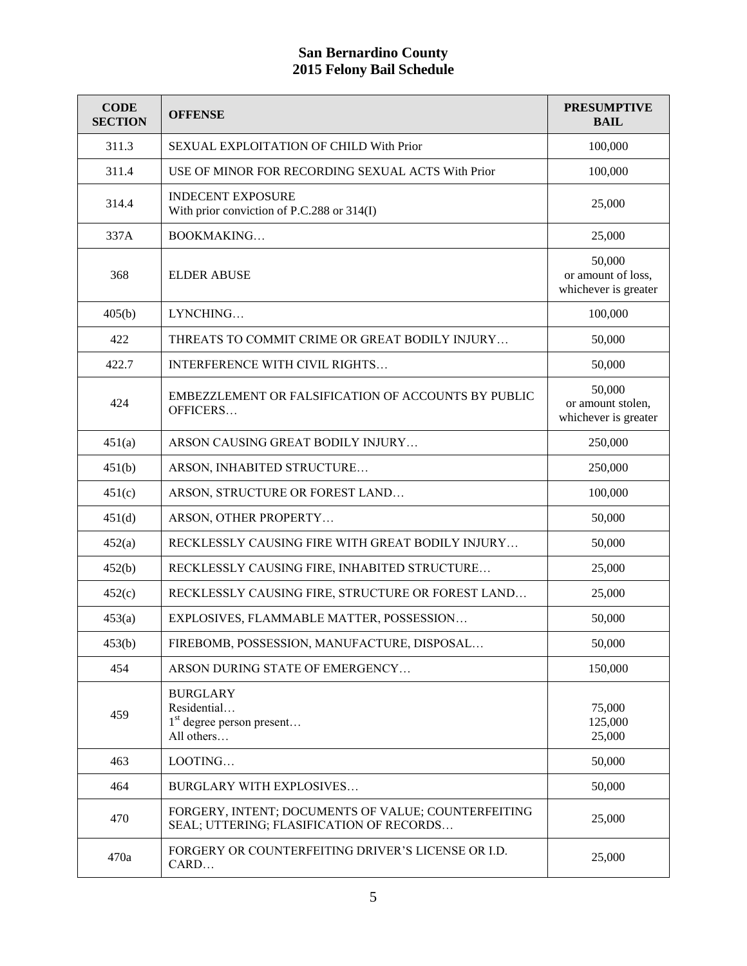| <b>CODE</b><br><b>SECTION</b> | <b>OFFENSE</b>                                                                                  | <b>PRESUMPTIVE</b><br><b>BAIL</b>                    |
|-------------------------------|-------------------------------------------------------------------------------------------------|------------------------------------------------------|
| 311.3                         | SEXUAL EXPLOITATION OF CHILD With Prior                                                         | 100,000                                              |
| 311.4                         | USE OF MINOR FOR RECORDING SEXUAL ACTS With Prior                                               | 100,000                                              |
| 314.4                         | <b>INDECENT EXPOSURE</b><br>With prior conviction of P.C.288 or 314(I)                          | 25,000                                               |
| 337A                          | BOOKMAKING                                                                                      | 25,000                                               |
| 368                           | <b>ELDER ABUSE</b>                                                                              | 50,000<br>or amount of loss,<br>whichever is greater |
| 405(b)                        | LYNCHING                                                                                        | 100,000                                              |
| 422                           | THREATS TO COMMIT CRIME OR GREAT BODILY INJURY                                                  | 50,000                                               |
| 422.7                         | INTERFERENCE WITH CIVIL RIGHTS                                                                  | 50,000                                               |
| 424                           | EMBEZZLEMENT OR FALSIFICATION OF ACCOUNTS BY PUBLIC<br>OFFICERS                                 | 50,000<br>or amount stolen,<br>whichever is greater  |
| 451(a)                        | ARSON CAUSING GREAT BODILY INJURY                                                               | 250,000                                              |
| 451(b)                        | ARSON, INHABITED STRUCTURE                                                                      | 250,000                                              |
| 451(c)                        | ARSON, STRUCTURE OR FOREST LAND                                                                 | 100,000                                              |
| 451(d)                        | ARSON, OTHER PROPERTY                                                                           | 50,000                                               |
| 452(a)                        | RECKLESSLY CAUSING FIRE WITH GREAT BODILY INJURY                                                | 50,000                                               |
| 452(b)                        | RECKLESSLY CAUSING FIRE, INHABITED STRUCTURE                                                    | 25,000                                               |
| 452(c)                        | RECKLESSLY CAUSING FIRE, STRUCTURE OR FOREST LAND                                               | 25,000                                               |
| 453(a)                        | EXPLOSIVES, FLAMMABLE MATTER, POSSESSION                                                        | 50,000                                               |
| 453(b)                        | FIREBOMB, POSSESSION, MANUFACTURE, DISPOSAL                                                     | 50,000                                               |
| 454                           | ARSON DURING STATE OF EMERGENCY                                                                 | 150,000                                              |
| 459                           | <b>BURGLARY</b><br>Residential<br>$1st$ degree person present<br>All others                     | 75,000<br>125,000<br>25,000                          |
| 463                           | LOOTING                                                                                         | 50,000                                               |
| 464                           | <b>BURGLARY WITH EXPLOSIVES</b>                                                                 | 50,000                                               |
| 470                           | FORGERY, INTENT; DOCUMENTS OF VALUE; COUNTERFEITING<br>SEAL; UTTERING; FLASIFICATION OF RECORDS | 25,000                                               |
| 470a                          | FORGERY OR COUNTERFEITING DRIVER'S LICENSE OR I.D.<br>CARD                                      | 25,000                                               |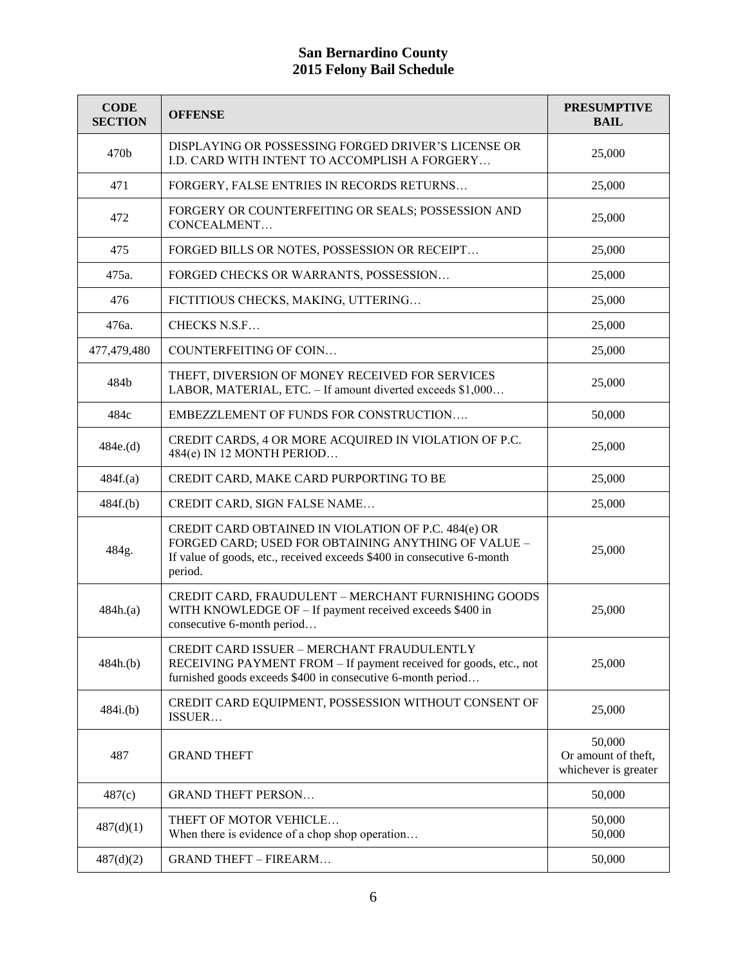| <b>CODE</b><br><b>SECTION</b> | <b>OFFENSE</b>                                                                                                                                                                                  | <b>PRESUMPTIVE</b><br><b>BAIL</b>                     |
|-------------------------------|-------------------------------------------------------------------------------------------------------------------------------------------------------------------------------------------------|-------------------------------------------------------|
| 470b                          | DISPLAYING OR POSSESSING FORGED DRIVER'S LICENSE OR<br>I.D. CARD WITH INTENT TO ACCOMPLISH A FORGERY                                                                                            | 25,000                                                |
| 471                           | FORGERY, FALSE ENTRIES IN RECORDS RETURNS                                                                                                                                                       | 25,000                                                |
| 472                           | FORGERY OR COUNTERFEITING OR SEALS; POSSESSION AND<br>CONCEALMENT                                                                                                                               | 25,000                                                |
| 475                           | FORGED BILLS OR NOTES, POSSESSION OR RECEIPT                                                                                                                                                    | 25,000                                                |
| 475a.                         | FORGED CHECKS OR WARRANTS, POSSESSION                                                                                                                                                           | 25,000                                                |
| 476                           | FICTITIOUS CHECKS, MAKING, UTTERING                                                                                                                                                             | 25,000                                                |
| 476a.                         | CHECKS N.S.F                                                                                                                                                                                    | 25,000                                                |
| 477,479,480                   | COUNTERFEITING OF COIN                                                                                                                                                                          | 25,000                                                |
| 484b                          | THEFT, DIVERSION OF MONEY RECEIVED FOR SERVICES<br>LABOR, MATERIAL, ETC. - If amount diverted exceeds \$1,000                                                                                   | 25,000                                                |
| 484c                          | EMBEZZLEMENT OF FUNDS FOR CONSTRUCTION                                                                                                                                                          | 50,000                                                |
| 484e.(d)                      | CREDIT CARDS, 4 OR MORE ACQUIRED IN VIOLATION OF P.C.<br>484(e) IN 12 MONTH PERIOD                                                                                                              | 25,000                                                |
| 484f(a)                       | CREDIT CARD, MAKE CARD PURPORTING TO BE                                                                                                                                                         | 25,000                                                |
| 484f.(b)                      | CREDIT CARD, SIGN FALSE NAME                                                                                                                                                                    | 25,000                                                |
| 484g.                         | CREDIT CARD OBTAINED IN VIOLATION OF P.C. 484(e) OR<br>FORGED CARD; USED FOR OBTAINING ANYTHING OF VALUE -<br>If value of goods, etc., received exceeds \$400 in consecutive 6-month<br>period. | 25,000                                                |
| 484h.(a)                      | CREDIT CARD, FRAUDULENT - MERCHANT FURNISHING GOODS<br>WITH KNOWLEDGE OF - If payment received exceeds \$400 in<br>consecutive 6-month period                                                   | 25,000                                                |
| 484h(b)                       | CREDIT CARD ISSUER - MERCHANT FRAUDULENTLY<br>RECEIVING PAYMENT FROM – If payment received for goods, etc., not<br>furnished goods exceeds \$400 in consecutive 6-month period                  | 25,000                                                |
| 484i(b)                       | CREDIT CARD EQUIPMENT, POSSESSION WITHOUT CONSENT OF<br>ISSUER                                                                                                                                  | 25,000                                                |
| 487                           | <b>GRAND THEFT</b>                                                                                                                                                                              | 50,000<br>Or amount of theft,<br>whichever is greater |
| 487(c)                        | <b>GRAND THEFT PERSON</b>                                                                                                                                                                       | 50,000                                                |
| 487(d)(1)                     | THEFT OF MOTOR VEHICLE<br>When there is evidence of a chop shop operation                                                                                                                       | 50,000<br>50,000                                      |
| 487(d)(2)                     | <b>GRAND THEFT - FIREARM</b>                                                                                                                                                                    | 50,000                                                |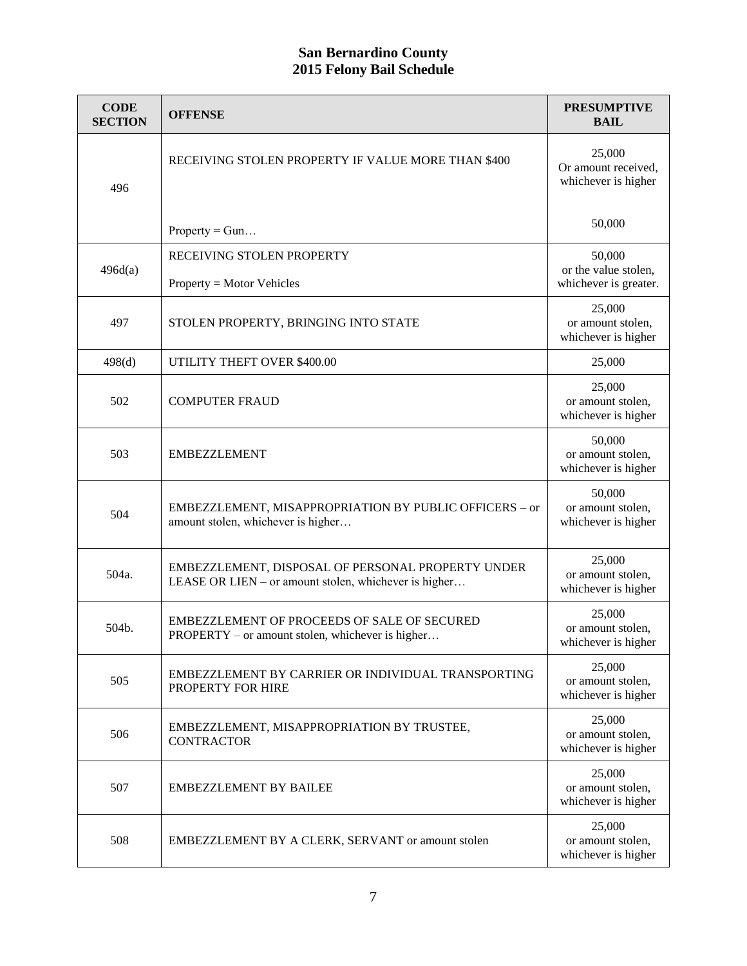| <b>CODE</b><br><b>SECTION</b> | <b>OFFENSE</b>                                                                                             | <b>PRESUMPTIVE</b><br><b>BAIL</b>                       |
|-------------------------------|------------------------------------------------------------------------------------------------------------|---------------------------------------------------------|
| 496                           | RECEIVING STOLEN PROPERTY IF VALUE MORE THAN \$400                                                         | 25,000<br>Or amount received,<br>whichever is higher    |
|                               | $Property = Gun$                                                                                           | 50,000                                                  |
| 496d(a)                       | RECEIVING STOLEN PROPERTY<br>$Property = Motor V_{\text{chicles}}$                                         | 50,000<br>or the value stolen,<br>whichever is greater. |
| 497                           | STOLEN PROPERTY, BRINGING INTO STATE                                                                       | 25,000<br>or amount stolen,<br>whichever is higher      |
| 498(d)                        | UTILITY THEFT OVER \$400.00                                                                                | 25,000                                                  |
| 502                           | <b>COMPUTER FRAUD</b>                                                                                      | 25,000<br>or amount stolen,<br>whichever is higher      |
| 503                           | <b>EMBEZZLEMENT</b>                                                                                        | 50,000<br>or amount stolen,<br>whichever is higher      |
| 504                           | EMBEZZLEMENT, MISAPPROPRIATION BY PUBLIC OFFICERS - or<br>amount stolen, whichever is higher               | 50,000<br>or amount stolen,<br>whichever is higher      |
| 504a.                         | EMBEZZLEMENT, DISPOSAL OF PERSONAL PROPERTY UNDER<br>LEASE OR LIEN – or amount stolen, whichever is higher | 25,000<br>or amount stolen,<br>whichever is higher      |
| 504b.                         | EMBEZZLEMENT OF PROCEEDS OF SALE OF SECURED<br>PROPERTY – or amount stolen, whichever is higher            | 25,000<br>or amount stolen,<br>whichever is higher      |
| 505                           | EMBEZZLEMENT BY CARRIER OR INDIVIDUAL TRANSPORTING<br>PROPERTY FOR HIRE                                    | 25,000<br>or amount stolen,<br>whichever is higher      |
| 506                           | EMBEZZLEMENT, MISAPPROPRIATION BY TRUSTEE,<br><b>CONTRACTOR</b>                                            | 25,000<br>or amount stolen,<br>whichever is higher      |
| 507                           | <b>EMBEZZLEMENT BY BAILEE</b>                                                                              | 25,000<br>or amount stolen,<br>whichever is higher      |
| 508                           | EMBEZZLEMENT BY A CLERK, SERVANT or amount stolen                                                          | 25,000<br>or amount stolen,<br>whichever is higher      |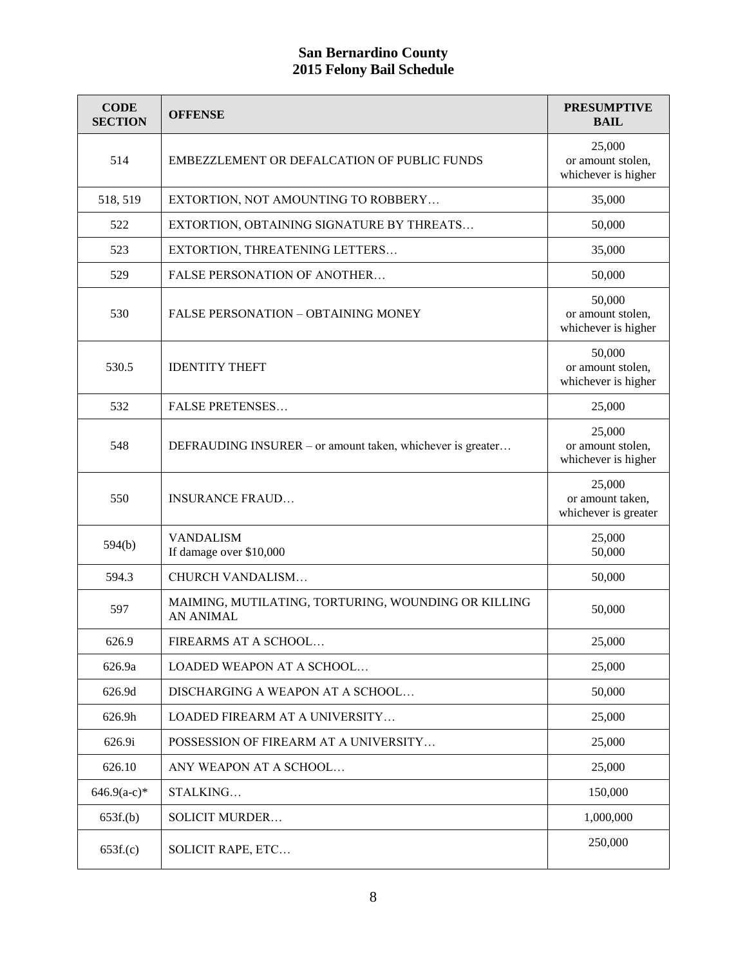| <b>CODE</b><br><b>SECTION</b> | <b>OFFENSE</b>                                                          | <b>PRESUMPTIVE</b><br><b>BAIL</b>                  |
|-------------------------------|-------------------------------------------------------------------------|----------------------------------------------------|
| 514                           | EMBEZZLEMENT OR DEFALCATION OF PUBLIC FUNDS                             | 25,000<br>or amount stolen,<br>whichever is higher |
| 518, 519                      | EXTORTION, NOT AMOUNTING TO ROBBERY                                     | 35,000                                             |
| 522                           | EXTORTION, OBTAINING SIGNATURE BY THREATS                               | 50,000                                             |
| 523                           | EXTORTION, THREATENING LETTERS                                          | 35,000                                             |
| 529                           | <b>FALSE PERSONATION OF ANOTHER</b>                                     | 50,000                                             |
| 530                           | <b>FALSE PERSONATION - OBTAINING MONEY</b>                              | 50,000<br>or amount stolen,<br>whichever is higher |
| 530.5                         | <b>IDENTITY THEFT</b>                                                   | 50,000<br>or amount stolen,<br>whichever is higher |
| 532                           | <b>FALSE PRETENSES</b>                                                  | 25,000                                             |
| 548                           | DEFRAUDING INSURER – or amount taken, whichever is greater              | 25,000<br>or amount stolen,<br>whichever is higher |
| 550                           | <b>INSURANCE FRAUD</b>                                                  | 25,000<br>or amount taken,<br>whichever is greater |
| 594(b)                        | <b>VANDALISM</b><br>If damage over \$10,000                             | 25,000<br>50,000                                   |
| 594.3                         | CHURCH VANDALISM                                                        | 50,000                                             |
| 597                           | MAIMING, MUTILATING, TORTURING, WOUNDING OR KILLING<br><b>AN ANIMAL</b> | 50,000                                             |
| 626.9                         | FIREARMS AT A SCHOOL.                                                   | 25,000                                             |
| 626.9a                        | LOADED WEAPON AT A SCHOOL                                               | 25,000                                             |
| 626.9d                        | DISCHARGING A WEAPON AT A SCHOOL                                        | 50,000                                             |
| 626.9h                        | <b>LOADED FIREARM AT A UNIVERSITY</b>                                   | 25,000                                             |
| 626.9i                        | POSSESSION OF FIREARM AT A UNIVERSITY                                   | 25,000                                             |
| 626.10                        | ANY WEAPON AT A SCHOOL                                                  | 25,000                                             |
| $646.9(a-c)*$                 | STALKING                                                                | 150,000                                            |
| 653f(b)                       | <b>SOLICIT MURDER</b>                                                   | 1,000,000                                          |
| 653f(c)                       | <b>SOLICIT RAPE, ETC</b>                                                | 250,000                                            |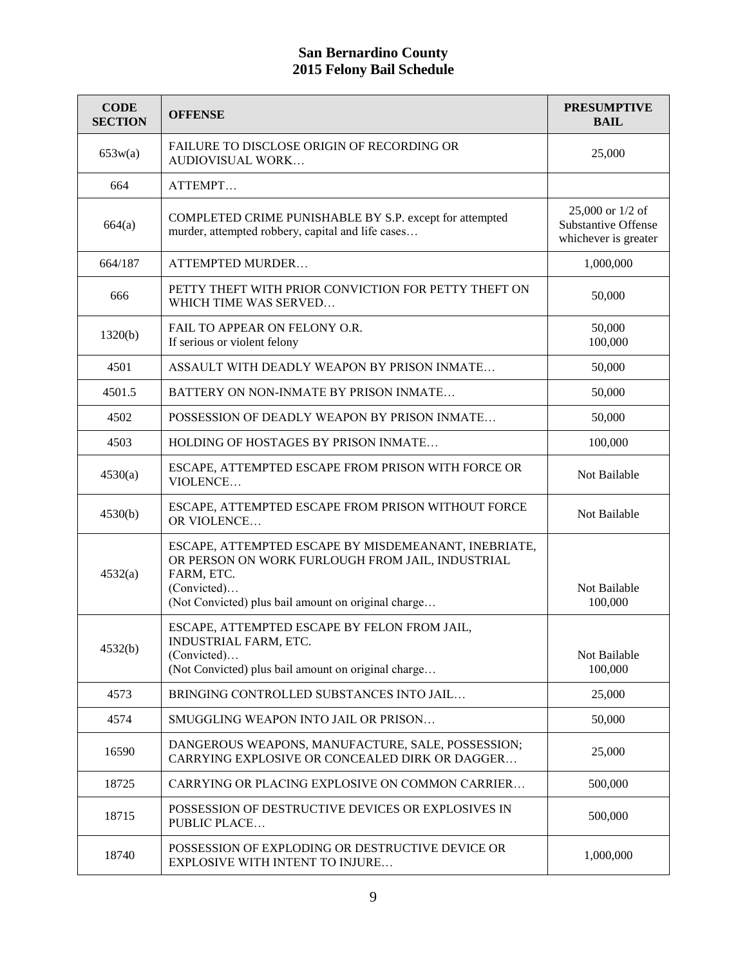| <b>CODE</b><br><b>SECTION</b> | <b>OFFENSE</b>                                                                                                                                                                               | <b>PRESUMPTIVE</b><br><b>BAIL</b>                                      |
|-------------------------------|----------------------------------------------------------------------------------------------------------------------------------------------------------------------------------------------|------------------------------------------------------------------------|
| 653w(a)                       | FAILURE TO DISCLOSE ORIGIN OF RECORDING OR<br><b>AUDIOVISUAL WORK</b>                                                                                                                        | 25,000                                                                 |
| 664                           | ATTEMPT                                                                                                                                                                                      |                                                                        |
| 664(a)                        | COMPLETED CRIME PUNISHABLE BY S.P. except for attempted<br>murder, attempted robbery, capital and life cases                                                                                 | 25,000 or 1/2 of<br><b>Substantive Offense</b><br>whichever is greater |
| 664/187                       | ATTEMPTED MURDER                                                                                                                                                                             | 1,000,000                                                              |
| 666                           | PETTY THEFT WITH PRIOR CONVICTION FOR PETTY THEFT ON<br>WHICH TIME WAS SERVED                                                                                                                | 50,000                                                                 |
| 1320(b)                       | FAIL TO APPEAR ON FELONY O.R.<br>If serious or violent felony                                                                                                                                | 50,000<br>100,000                                                      |
| 4501                          | ASSAULT WITH DEADLY WEAPON BY PRISON INMATE                                                                                                                                                  | 50,000                                                                 |
| 4501.5                        | BATTERY ON NON-INMATE BY PRISON INMATE                                                                                                                                                       | 50,000                                                                 |
| 4502                          | POSSESSION OF DEADLY WEAPON BY PRISON INMATE                                                                                                                                                 | 50,000                                                                 |
| 4503                          | HOLDING OF HOSTAGES BY PRISON INMATE                                                                                                                                                         | 100,000                                                                |
| 4530(a)                       | ESCAPE, ATTEMPTED ESCAPE FROM PRISON WITH FORCE OR<br>VIOLENCE                                                                                                                               | Not Bailable                                                           |
| 4530(b)                       | ESCAPE, ATTEMPTED ESCAPE FROM PRISON WITHOUT FORCE<br>OR VIOLENCE                                                                                                                            | Not Bailable                                                           |
| 4532(a)                       | ESCAPE, ATTEMPTED ESCAPE BY MISDEMEANANT, INEBRIATE,<br>OR PERSON ON WORK FURLOUGH FROM JAIL, INDUSTRIAL<br>FARM, ETC.<br>(Convicted)<br>(Not Convicted) plus bail amount on original charge | Not Bailable<br>100,000                                                |
| 4532(b)                       | ESCAPE, ATTEMPTED ESCAPE BY FELON FROM JAIL,<br>INDUSTRIAL FARM, ETC.<br>(Convicted)<br>(Not Convicted) plus bail amount on original charge                                                  | Not Bailable<br>100,000                                                |
| 4573                          | BRINGING CONTROLLED SUBSTANCES INTO JAIL                                                                                                                                                     | 25,000                                                                 |
| 4574                          | SMUGGLING WEAPON INTO JAIL OR PRISON                                                                                                                                                         | 50,000                                                                 |
| 16590                         | DANGEROUS WEAPONS, MANUFACTURE, SALE, POSSESSION;<br>CARRYING EXPLOSIVE OR CONCEALED DIRK OR DAGGER                                                                                          | 25,000                                                                 |
| 18725                         | CARRYING OR PLACING EXPLOSIVE ON COMMON CARRIER                                                                                                                                              | 500,000                                                                |
| 18715                         | POSSESSION OF DESTRUCTIVE DEVICES OR EXPLOSIVES IN<br>PUBLIC PLACE                                                                                                                           | 500,000                                                                |
| 18740                         | POSSESSION OF EXPLODING OR DESTRUCTIVE DEVICE OR<br>EXPLOSIVE WITH INTENT TO INJURE                                                                                                          | 1,000,000                                                              |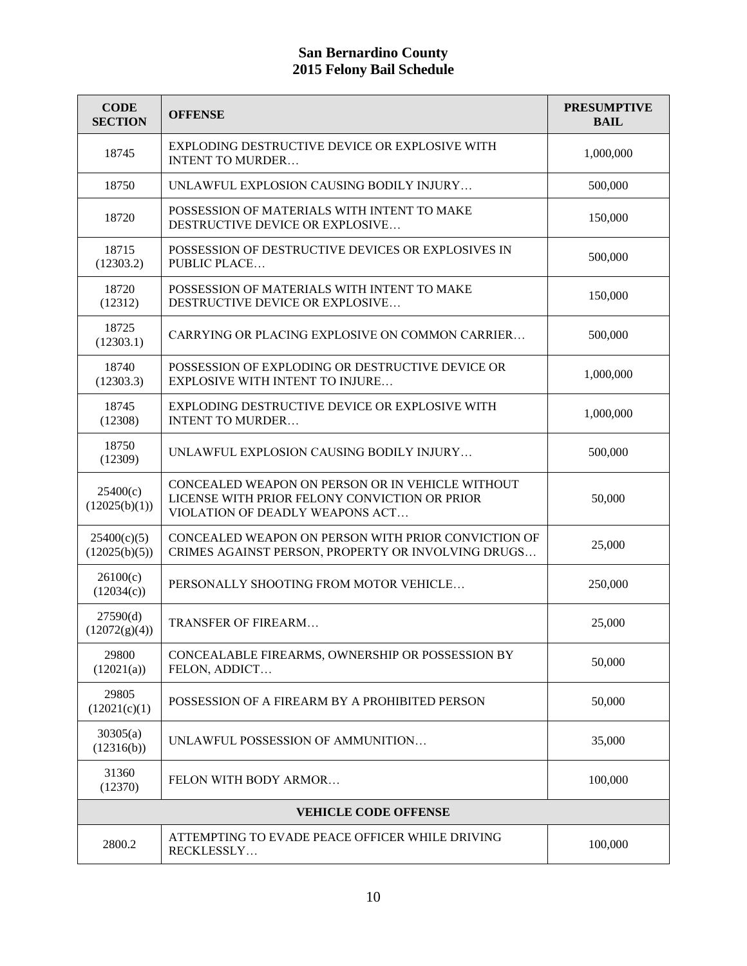| <b>CODE</b><br><b>SECTION</b> | <b>OFFENSE</b>                                                                                                                       | <b>PRESUMPTIVE</b><br><b>BAIL</b> |
|-------------------------------|--------------------------------------------------------------------------------------------------------------------------------------|-----------------------------------|
| 18745                         | EXPLODING DESTRUCTIVE DEVICE OR EXPLOSIVE WITH<br><b>INTENT TO MURDER</b>                                                            | 1,000,000                         |
| 18750                         | UNLAWFUL EXPLOSION CAUSING BODILY INJURY                                                                                             | 500,000                           |
| 18720                         | POSSESSION OF MATERIALS WITH INTENT TO MAKE<br>DESTRUCTIVE DEVICE OR EXPLOSIVE                                                       | 150,000                           |
| 18715<br>(12303.2)            | POSSESSION OF DESTRUCTIVE DEVICES OR EXPLOSIVES IN<br>PUBLIC PLACE                                                                   | 500,000                           |
| 18720<br>(12312)              | POSSESSION OF MATERIALS WITH INTENT TO MAKE<br>DESTRUCTIVE DEVICE OR EXPLOSIVE                                                       | 150,000                           |
| 18725<br>(12303.1)            | CARRYING OR PLACING EXPLOSIVE ON COMMON CARRIER                                                                                      | 500,000                           |
| 18740<br>(12303.3)            | POSSESSION OF EXPLODING OR DESTRUCTIVE DEVICE OR<br><b>EXPLOSIVE WITH INTENT TO INJURE</b>                                           | 1,000,000                         |
| 18745<br>(12308)              | EXPLODING DESTRUCTIVE DEVICE OR EXPLOSIVE WITH<br><b>INTENT TO MURDER</b>                                                            | 1,000,000                         |
| 18750<br>(12309)              | UNLAWFUL EXPLOSION CAUSING BODILY INJURY                                                                                             | 500,000                           |
| 25400(c)<br>(12025(b)(1))     | CONCEALED WEAPON ON PERSON OR IN VEHICLE WITHOUT<br>LICENSE WITH PRIOR FELONY CONVICTION OR PRIOR<br>VIOLATION OF DEADLY WEAPONS ACT | 50,000                            |
| 25400(c)(5)<br>(12025(b)(5))  | CONCEALED WEAPON ON PERSON WITH PRIOR CONVICTION OF<br>CRIMES AGAINST PERSON, PROPERTY OR INVOLVING DRUGS                            | 25,000                            |
| 26100(c)<br>(12034(c))        | PERSONALLY SHOOTING FROM MOTOR VEHICLE                                                                                               | 250,000                           |
| 27590(d)<br>(12072(g)(4))     | TRANSFER OF FIREARM                                                                                                                  | 25,000                            |
| 29800<br>(12021(a))           | CONCEALABLE FIREARMS, OWNERSHIP OR POSSESSION BY<br>FELON, ADDICT                                                                    | 50,000                            |
| 29805<br>(12021(c)(1))        | POSSESSION OF A FIREARM BY A PROHIBITED PERSON                                                                                       | 50,000                            |
| 30305(a)<br>(12316(b))        | UNLAWFUL POSSESSION OF AMMUNITION                                                                                                    | 35,000                            |
| 31360<br>(12370)              | FELON WITH BODY ARMOR                                                                                                                | 100,000                           |
| <b>VEHICLE CODE OFFENSE</b>   |                                                                                                                                      |                                   |
| 2800.2                        | ATTEMPTING TO EVADE PEACE OFFICER WHILE DRIVING<br>RECKLESSLY                                                                        | 100,000                           |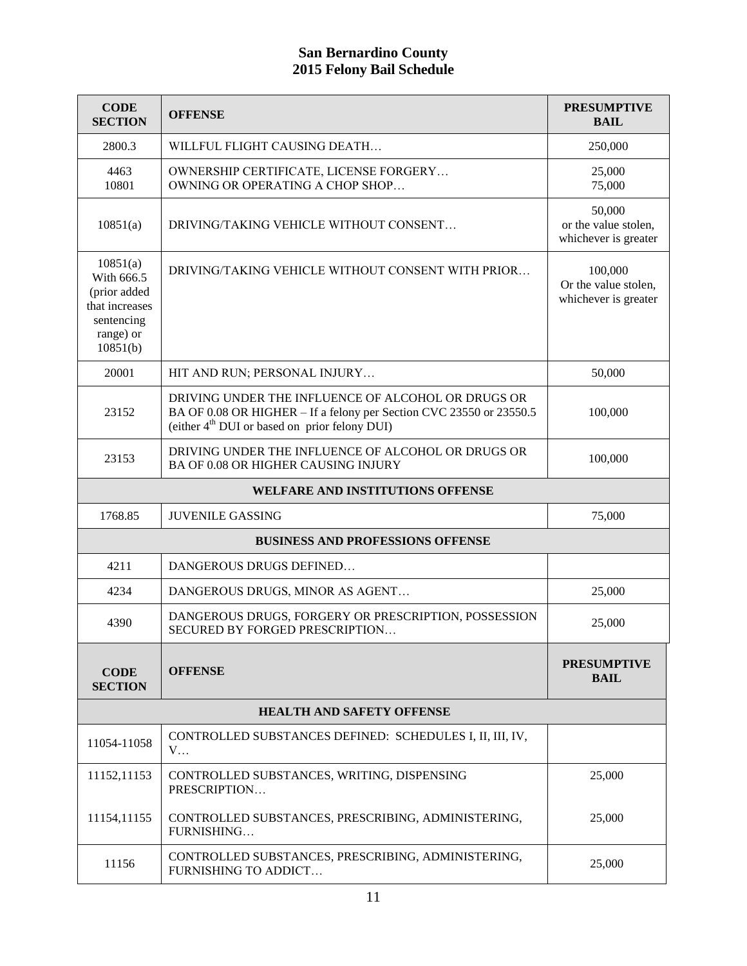| <b>CODE</b><br><b>SECTION</b>                                                                   | <b>OFFENSE</b>                                                                                                                                                                         | <b>PRESUMPTIVE</b><br><b>BAIL</b>                       |
|-------------------------------------------------------------------------------------------------|----------------------------------------------------------------------------------------------------------------------------------------------------------------------------------------|---------------------------------------------------------|
| 2800.3                                                                                          | WILLFUL FLIGHT CAUSING DEATH                                                                                                                                                           | 250,000                                                 |
| 4463<br>10801                                                                                   | OWNERSHIP CERTIFICATE, LICENSE FORGERY<br>OWNING OR OPERATING A CHOP SHOP                                                                                                              | 25,000<br>75,000                                        |
| 10851(a)                                                                                        | DRIVING/TAKING VEHICLE WITHOUT CONSENT                                                                                                                                                 | 50,000<br>or the value stolen,<br>whichever is greater  |
| 10851(a)<br>With 666.5<br>(prior added<br>that increases<br>sentencing<br>range) or<br>10851(b) | DRIVING/TAKING VEHICLE WITHOUT CONSENT WITH PRIOR                                                                                                                                      | 100,000<br>Or the value stolen,<br>whichever is greater |
| 20001                                                                                           | HIT AND RUN; PERSONAL INJURY                                                                                                                                                           | 50,000                                                  |
| 23152                                                                                           | DRIVING UNDER THE INFLUENCE OF ALCOHOL OR DRUGS OR<br>BA OF 0.08 OR HIGHER – If a felony per Section CVC 23550 or 23550.5<br>(either 4 <sup>th</sup> DUI or based on prior felony DUI) | 100,000                                                 |
| 23153                                                                                           | DRIVING UNDER THE INFLUENCE OF ALCOHOL OR DRUGS OR<br>BA OF 0.08 OR HIGHER CAUSING INJURY                                                                                              | 100,000                                                 |
|                                                                                                 | WELFARE AND INSTITUTIONS OFFENSE                                                                                                                                                       |                                                         |
| 1768.85                                                                                         | <b>JUVENILE GASSING</b>                                                                                                                                                                | 75,000                                                  |
|                                                                                                 | <b>BUSINESS AND PROFESSIONS OFFENSE</b>                                                                                                                                                |                                                         |
| 4211                                                                                            | DANGEROUS DRUGS DEFINED                                                                                                                                                                |                                                         |
| 4234                                                                                            | DANGEROUS DRUGS, MINOR AS AGENT                                                                                                                                                        | 25,000                                                  |
| 4390                                                                                            | DANGEROUS DRUGS, FORGERY OR PRESCRIPTION, POSSESSION<br>SECURED BY FORGED PRESCRIPTION                                                                                                 | 25,000                                                  |
| <b>CODE</b><br><b>SECTION</b>                                                                   | <b>OFFENSE</b>                                                                                                                                                                         | <b>PRESUMPTIVE</b><br><b>BAIL</b>                       |
| <b>HEALTH AND SAFETY OFFENSE</b>                                                                |                                                                                                                                                                                        |                                                         |
| 11054-11058                                                                                     | CONTROLLED SUBSTANCES DEFINED: SCHEDULES I, II, III, IV,<br>$V_{\cdots}$                                                                                                               |                                                         |
| 11152,11153                                                                                     | CONTROLLED SUBSTANCES, WRITING, DISPENSING<br>PRESCRIPTION                                                                                                                             | 25,000                                                  |
| 11154,11155                                                                                     | CONTROLLED SUBSTANCES, PRESCRIBING, ADMINISTERING,<br>FURNISHING                                                                                                                       | 25,000                                                  |
| 11156                                                                                           | CONTROLLED SUBSTANCES, PRESCRIBING, ADMINISTERING,<br>FURNISHING TO ADDICT                                                                                                             | 25,000                                                  |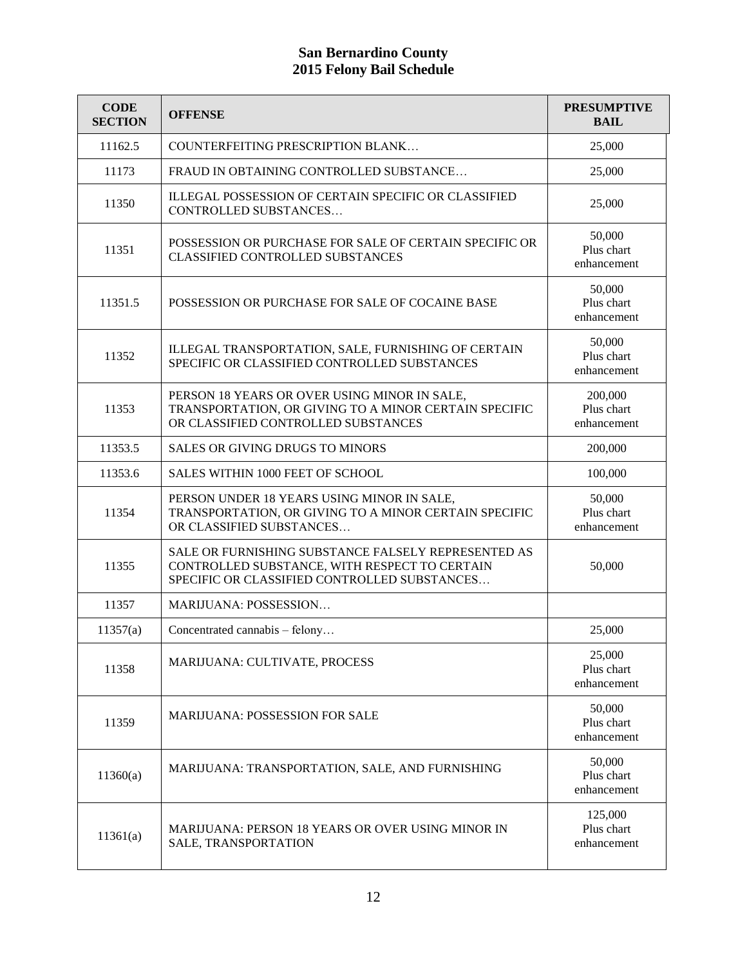| <b>CODE</b><br><b>SECTION</b> | <b>OFFENSE</b>                                                                                                                                       | <b>PRESUMPTIVE</b><br><b>BAIL</b>    |
|-------------------------------|------------------------------------------------------------------------------------------------------------------------------------------------------|--------------------------------------|
| 11162.5                       | COUNTERFEITING PRESCRIPTION BLANK                                                                                                                    | 25,000                               |
| 11173                         | FRAUD IN OBTAINING CONTROLLED SUBSTANCE                                                                                                              | 25,000                               |
| 11350                         | ILLEGAL POSSESSION OF CERTAIN SPECIFIC OR CLASSIFIED<br>CONTROLLED SUBSTANCES                                                                        | 25,000                               |
| 11351                         | POSSESSION OR PURCHASE FOR SALE OF CERTAIN SPECIFIC OR<br>CLASSIFIED CONTROLLED SUBSTANCES                                                           | 50,000<br>Plus chart<br>enhancement  |
| 11351.5                       | POSSESSION OR PURCHASE FOR SALE OF COCAINE BASE                                                                                                      | 50,000<br>Plus chart<br>enhancement  |
| 11352                         | ILLEGAL TRANSPORTATION, SALE, FURNISHING OF CERTAIN<br>SPECIFIC OR CLASSIFIED CONTROLLED SUBSTANCES                                                  | 50,000<br>Plus chart<br>enhancement  |
| 11353                         | PERSON 18 YEARS OR OVER USING MINOR IN SALE,<br>TRANSPORTATION, OR GIVING TO A MINOR CERTAIN SPECIFIC<br>OR CLASSIFIED CONTROLLED SUBSTANCES         | 200,000<br>Plus chart<br>enhancement |
| 11353.5                       | <b>SALES OR GIVING DRUGS TO MINORS</b>                                                                                                               | 200,000                              |
| 11353.6                       | SALES WITHIN 1000 FEET OF SCHOOL                                                                                                                     | 100,000                              |
| 11354                         | PERSON UNDER 18 YEARS USING MINOR IN SALE,<br>TRANSPORTATION, OR GIVING TO A MINOR CERTAIN SPECIFIC<br>OR CLASSIFIED SUBSTANCES                      | 50,000<br>Plus chart<br>enhancement  |
| 11355                         | SALE OR FURNISHING SUBSTANCE FALSELY REPRESENTED AS<br>CONTROLLED SUBSTANCE, WITH RESPECT TO CERTAIN<br>SPECIFIC OR CLASSIFIED CONTROLLED SUBSTANCES | 50,000                               |
| 11357                         | MARIJUANA: POSSESSION                                                                                                                                |                                      |
| 11357(a)                      | Concentrated cannabis - felony                                                                                                                       | 25,000                               |
| 11358                         | MARIJUANA: CULTIVATE, PROCESS                                                                                                                        | 25,000<br>Plus chart<br>enhancement  |
| 11359                         | <b>MARIJUANA: POSSESSION FOR SALE</b>                                                                                                                | 50,000<br>Plus chart<br>enhancement  |
| 11360(a)                      | MARIJUANA: TRANSPORTATION, SALE, AND FURNISHING                                                                                                      | 50,000<br>Plus chart<br>enhancement  |
| 11361(a)                      | <b>MARIJUANA: PERSON 18 YEARS OR OVER USING MINOR IN</b><br>SALE, TRANSPORTATION                                                                     | 125,000<br>Plus chart<br>enhancement |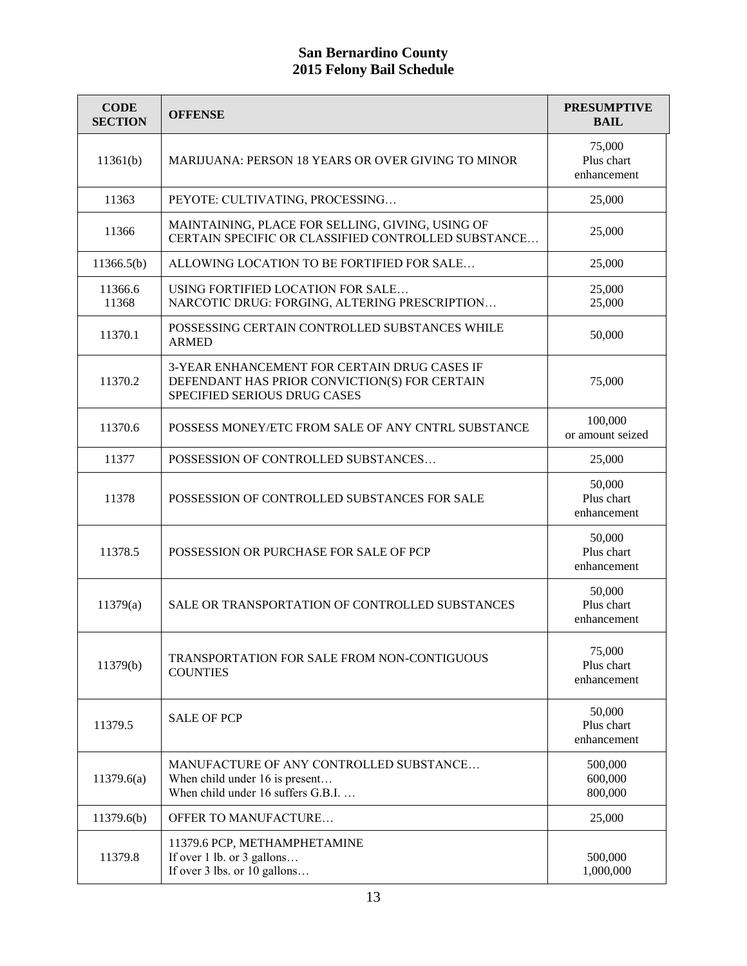| <b>CODE</b><br><b>SECTION</b> | <b>OFFENSE</b>                                                                                                                | <b>PRESUMPTIVE</b><br><b>BAIL</b>   |
|-------------------------------|-------------------------------------------------------------------------------------------------------------------------------|-------------------------------------|
| 11361(b)                      | <b>MARIJUANA: PERSON 18 YEARS OR OVER GIVING TO MINOR</b>                                                                     | 75,000<br>Plus chart<br>enhancement |
| 11363                         | PEYOTE: CULTIVATING, PROCESSING                                                                                               | 25,000                              |
| 11366                         | MAINTAINING, PLACE FOR SELLING, GIVING, USING OF<br>CERTAIN SPECIFIC OR CLASSIFIED CONTROLLED SUBSTANCE                       | 25,000                              |
| 11366.5(b)                    | ALLOWING LOCATION TO BE FORTIFIED FOR SALE                                                                                    | 25,000                              |
| 11366.6<br>11368              | USING FORTIFIED LOCATION FOR SALE<br>NARCOTIC DRUG: FORGING, ALTERING PRESCRIPTION                                            | 25,000<br>25,000                    |
| 11370.1                       | POSSESSING CERTAIN CONTROLLED SUBSTANCES WHILE<br><b>ARMED</b>                                                                | 50,000                              |
| 11370.2                       | 3-YEAR ENHANCEMENT FOR CERTAIN DRUG CASES IF<br>DEFENDANT HAS PRIOR CONVICTION(S) FOR CERTAIN<br>SPECIFIED SERIOUS DRUG CASES | 75,000                              |
| 11370.6                       | POSSESS MONEY/ETC FROM SALE OF ANY CNTRL SUBSTANCE                                                                            | 100,000<br>or amount seized         |
| 11377                         | POSSESSION OF CONTROLLED SUBSTANCES                                                                                           | 25,000                              |
| 11378                         | POSSESSION OF CONTROLLED SUBSTANCES FOR SALE                                                                                  | 50,000<br>Plus chart<br>enhancement |
| 11378.5                       | POSSESSION OR PURCHASE FOR SALE OF PCP                                                                                        | 50,000<br>Plus chart<br>enhancement |
| 11379(a)                      | SALE OR TRANSPORTATION OF CONTROLLED SUBSTANCES                                                                               | 50,000<br>Plus chart<br>enhancement |
| 11379(b)                      | <b>TRANSPORTATION FOR SALE FROM NON-CONTIGUOUS</b><br><b>COUNTIES</b>                                                         | 75,000<br>Plus chart<br>enhancement |
| 11379.5                       | <b>SALE OF PCP</b>                                                                                                            | 50,000<br>Plus chart<br>enhancement |
| 11379.6(a)                    | MANUFACTURE OF ANY CONTROLLED SUBSTANCE<br>When child under 16 is present<br>When child under 16 suffers G.B.I.               | 500,000<br>600,000<br>800,000       |
| 11379.6(b)                    | <b>OFFER TO MANUFACTURE</b>                                                                                                   | 25,000                              |
| 11379.8                       | 11379.6 PCP, METHAMPHETAMINE<br>If over 1 lb. or 3 gallons<br>If over 3 lbs. or 10 gallons                                    | 500,000<br>1,000,000                |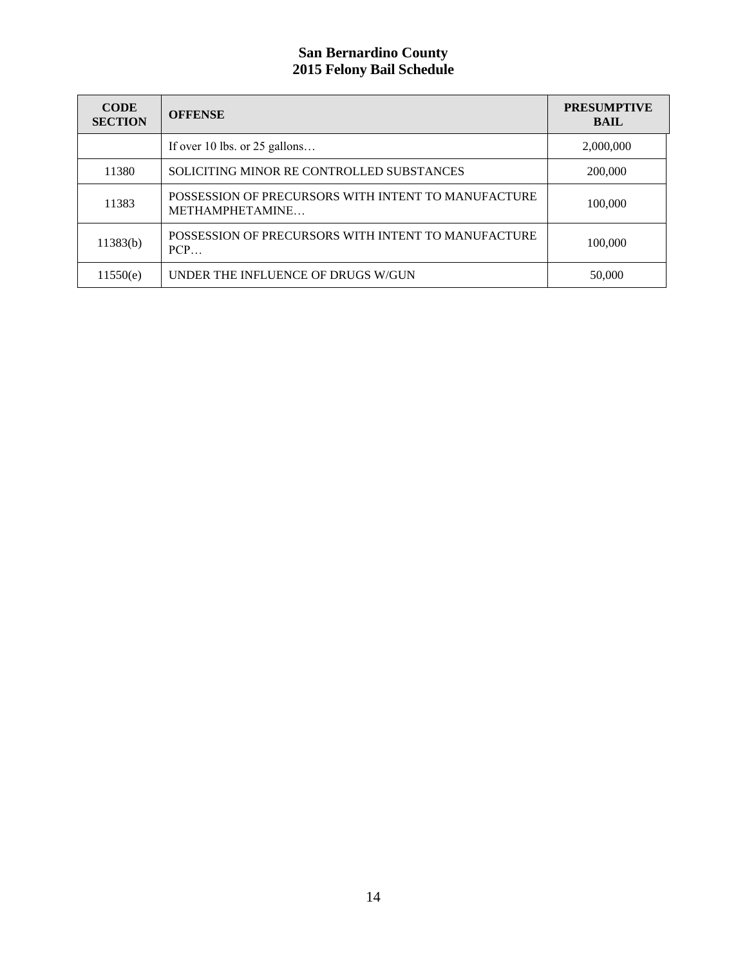| <b>CODE</b><br><b>SECTION</b> | <b>OFFENSE</b>                                                         | <b>PRESUMPTIVE</b><br><b>BAIL</b> |
|-------------------------------|------------------------------------------------------------------------|-----------------------------------|
|                               | If over 10 lbs. or $25$ gallons                                        | 2,000,000                         |
| 11380                         | SOLICITING MINOR RE CONTROLLED SUBSTANCES                              | 200,000                           |
| 11383                         | POSSESSION OF PRECURSORS WITH INTENT TO MANUFACTURE<br>METHAMPHETAMINE | 100,000                           |
| 11383(b)                      | POSSESSION OF PRECURSORS WITH INTENT TO MANUFACTURE<br><b>PCP</b>      | 100,000                           |
| 11550(e)                      | UNDER THE INFLUENCE OF DRUGS W/GUN                                     | 50,000                            |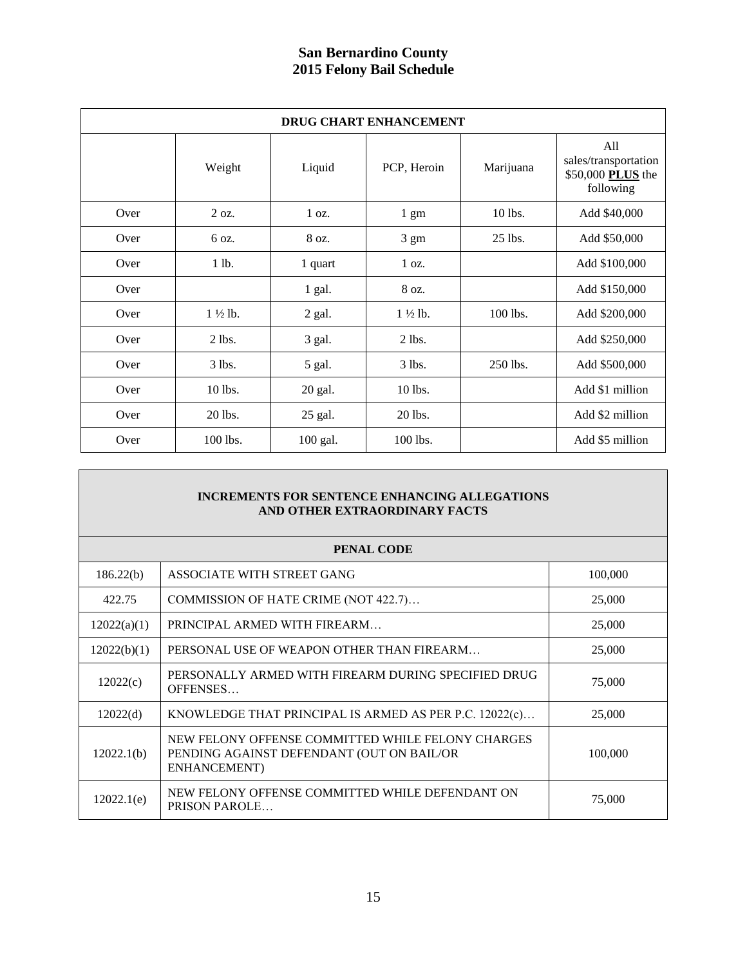| <b>DRUG CHART ENHANCEMENT</b> |                    |          |                    |           |                                                               |
|-------------------------------|--------------------|----------|--------------------|-----------|---------------------------------------------------------------|
|                               | Weight             | Liquid   | PCP, Heroin        | Marijuana | All<br>sales/transportation<br>\$50,000 PLUS the<br>following |
| Over                          | 2 oz.              | 1 oz.    | $1 \text{ gm}$     | 10 lbs.   | Add \$40,000                                                  |
| Over                          | 6 oz.              | 8 oz.    | $3 \text{ gm}$     | 25 lbs.   | Add \$50,000                                                  |
| Over                          | 1 lb.              | 1 quart  | 1 oz.              |           | Add \$100,000                                                 |
| Over                          |                    | 1 gal.   | 8 oz.              |           | Add \$150,000                                                 |
| Over                          | $1\frac{1}{2}$ lb. | 2 gal.   | $1\frac{1}{2}$ lb. | 100 lbs.  | Add \$200,000                                                 |
| Over                          | $2$ lbs.           | 3 gal.   | $2$ lbs.           |           | Add \$250,000                                                 |
| Over                          | $3$ lbs.           | 5 gal.   | $3$ lbs.           | 250 lbs.  | Add \$500,000                                                 |
| Over                          | 10 lbs.            | 20 gal.  | 10 lbs.            |           | Add \$1 million                                               |
| Over                          | 20 lbs.            | 25 gal.  | 20 lbs.            |           | Add \$2 million                                               |
| Over                          | 100 lbs.           | 100 gal. | 100 lbs.           |           | Add \$5 million                                               |

#### **INCREMENTS FOR SENTENCE ENHANCING ALLEGATIONS AND OTHER EXTRAORDINARY FACTS**

| PENAL CODE  |                                                                                                                |         |  |
|-------------|----------------------------------------------------------------------------------------------------------------|---------|--|
| 186.22(b)   | ASSOCIATE WITH STREET GANG                                                                                     | 100,000 |  |
| 422.75      | COMMISSION OF HATE CRIME (NOT 422.7)                                                                           | 25,000  |  |
| 12022(a)(1) | PRINCIPAL ARMED WITH FIREARM                                                                                   | 25,000  |  |
| 12022(b)(1) | PERSONAL USE OF WEAPON OTHER THAN FIREARM                                                                      | 25,000  |  |
| 12022(c)    | PERSONALLY ARMED WITH FIREARM DURING SPECIFIED DRUG<br>OFFENSES                                                | 75,000  |  |
| 12022(d)    | KNOWLEDGE THAT PRINCIPAL IS ARMED AS PER P.C. $12022(c)$                                                       | 25,000  |  |
| 12022.1(b)  | NEW FELONY OFFENSE COMMITTED WHILE FELONY CHARGES<br>PENDING AGAINST DEFENDANT (OUT ON BAIL/OR<br>ENHANCEMENT) | 100,000 |  |
| 12022.1(e)  | NEW FELONY OFFENSE COMMITTED WHILE DEFENDANT ON<br><b>PRISON PAROLE</b>                                        | 75,000  |  |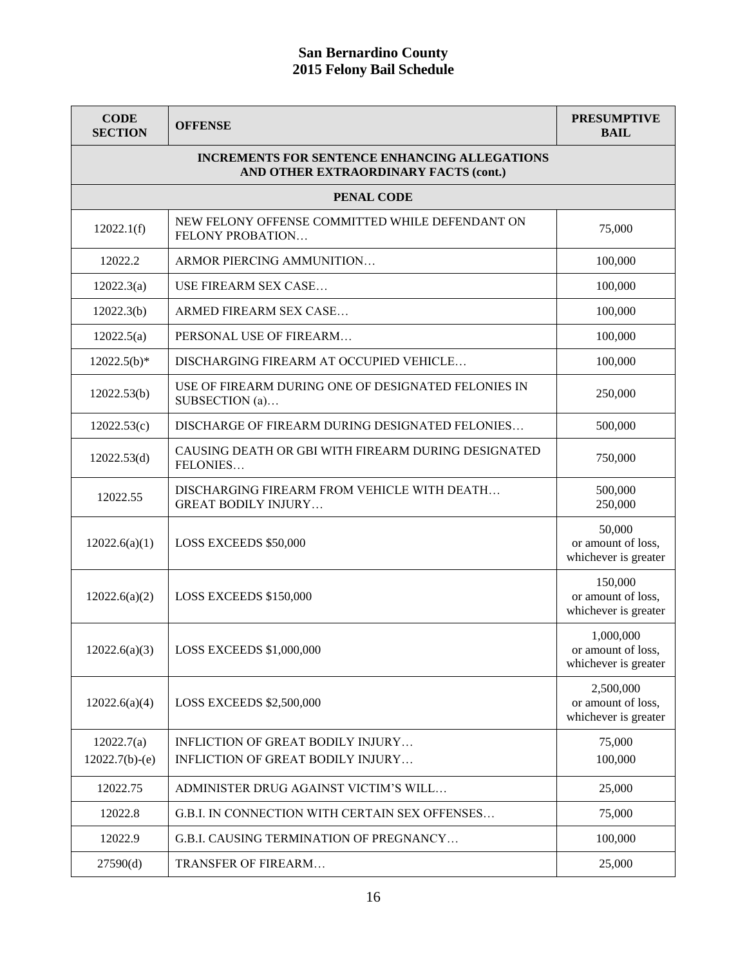| <b>CODE</b><br><b>SECTION</b>                                                                 | <b>OFFENSE</b>                                                            | <b>PRESUMPTIVE</b><br><b>BAIL</b>                       |
|-----------------------------------------------------------------------------------------------|---------------------------------------------------------------------------|---------------------------------------------------------|
| <b>INCREMENTS FOR SENTENCE ENHANCING ALLEGATIONS</b><br>AND OTHER EXTRAORDINARY FACTS (cont.) |                                                                           |                                                         |
|                                                                                               | PENAL CODE                                                                |                                                         |
| 12022.1(f)                                                                                    | NEW FELONY OFFENSE COMMITTED WHILE DEFENDANT ON<br>FELONY PROBATION       | 75,000                                                  |
| 12022.2                                                                                       | ARMOR PIERCING AMMUNITION                                                 | 100,000                                                 |
| 12022.3(a)                                                                                    | USE FIREARM SEX CASE                                                      | 100,000                                                 |
| 12022.3(b)                                                                                    | ARMED FIREARM SEX CASE                                                    | 100,000                                                 |
| 12022.5(a)                                                                                    | PERSONAL USE OF FIREARM                                                   | 100,000                                                 |
| $12022.5(b)*$                                                                                 | DISCHARGING FIREARM AT OCCUPIED VEHICLE                                   | 100,000                                                 |
| 12022.53(b)                                                                                   | USE OF FIREARM DURING ONE OF DESIGNATED FELONIES IN<br>SUBSECTION (a)     | 250,000                                                 |
| 12022.53(c)                                                                                   | DISCHARGE OF FIREARM DURING DESIGNATED FELONIES                           | 500,000                                                 |
| 12022.53(d)                                                                                   | CAUSING DEATH OR GBI WITH FIREARM DURING DESIGNATED<br>FELONIES           | 750,000                                                 |
| 12022.55                                                                                      | DISCHARGING FIREARM FROM VEHICLE WITH DEATH<br><b>GREAT BODILY INJURY</b> | 500,000<br>250,000                                      |
| 12022.6(a)(1)                                                                                 | LOSS EXCEEDS \$50,000                                                     | 50,000<br>or amount of loss,<br>whichever is greater    |
| 12022.6(a)(2)                                                                                 | LOSS EXCEEDS \$150,000                                                    | 150,000<br>or amount of loss,<br>whichever is greater   |
| 12022.6(a)(3)                                                                                 | <b>LOSS EXCEEDS \$1,000,000</b>                                           | 1,000,000<br>or amount of loss,<br>whichever is greater |
| 12022.6(a)(4)                                                                                 | <b>LOSS EXCEEDS \$2,500,000</b>                                           | 2,500,000<br>or amount of loss,<br>whichever is greater |
| 12022.7(a)                                                                                    | INFLICTION OF GREAT BODILY INJURY                                         | 75,000                                                  |
| $12022.7(b)-(e)$                                                                              | INFLICTION OF GREAT BODILY INJURY                                         | 100,000                                                 |
| 12022.75                                                                                      | ADMINISTER DRUG AGAINST VICTIM'S WILL                                     | 25,000                                                  |
| 12022.8                                                                                       | G.B.I. IN CONNECTION WITH CERTAIN SEX OFFENSES                            | 75,000                                                  |
| 12022.9                                                                                       | G.B.I. CAUSING TERMINATION OF PREGNANCY                                   | 100,000                                                 |
| 27590(d)                                                                                      | TRANSFER OF FIREARM                                                       | 25,000                                                  |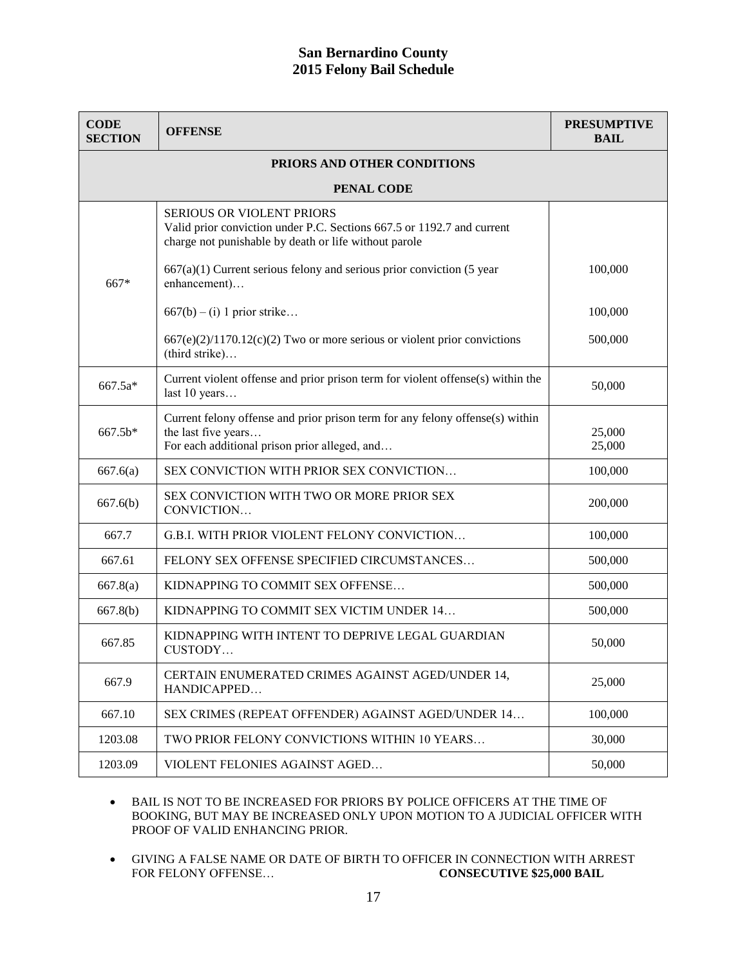| <b>CODE</b><br><b>SECTION</b> | <b>OFFENSE</b>                                                                                                                                                      | <b>PRESUMPTIVE</b><br><b>BAIL</b> |  |
|-------------------------------|---------------------------------------------------------------------------------------------------------------------------------------------------------------------|-----------------------------------|--|
| PRIORS AND OTHER CONDITIONS   |                                                                                                                                                                     |                                   |  |
| PENAL CODE                    |                                                                                                                                                                     |                                   |  |
|                               | <b>SERIOUS OR VIOLENT PRIORS</b><br>Valid prior conviction under P.C. Sections 667.5 or 1192.7 and current<br>charge not punishable by death or life without parole |                                   |  |
| 667*                          | $667(a)(1)$ Current serious felony and serious prior conviction (5 year<br>enhancement)                                                                             | 100,000                           |  |
|                               | $667(b) - (i) 1$ prior strike                                                                                                                                       | 100,000                           |  |
|                               | $667(e)(2)/1170.12(c)(2)$ Two or more serious or violent prior convictions<br>(third strike)                                                                        | 500,000                           |  |
| 667.5a*                       | Current violent offense and prior prison term for violent offense(s) within the<br>last 10 years                                                                    | 50,000                            |  |
| 667.5b*                       | Current felony offense and prior prison term for any felony offense(s) within<br>the last five years<br>For each additional prison prior alleged, and               | 25,000<br>25,000                  |  |
| 667.6(a)                      | SEX CONVICTION WITH PRIOR SEX CONVICTION                                                                                                                            | 100,000                           |  |
| 667.6(b)                      | SEX CONVICTION WITH TWO OR MORE PRIOR SEX<br>CONVICTION                                                                                                             | 200,000                           |  |
| 667.7                         | G.B.I. WITH PRIOR VIOLENT FELONY CONVICTION                                                                                                                         | 100,000                           |  |
| 667.61                        | FELONY SEX OFFENSE SPECIFIED CIRCUMSTANCES                                                                                                                          | 500,000                           |  |
| 667.8(a)                      | KIDNAPPING TO COMMIT SEX OFFENSE                                                                                                                                    | 500,000                           |  |
| 667.8(b)                      | KIDNAPPING TO COMMIT SEX VICTIM UNDER 14                                                                                                                            | 500,000                           |  |
| 667.85                        | KIDNAPPING WITH INTENT TO DEPRIVE LEGAL GUARDIAN<br>CUSTODY                                                                                                         | 50,000                            |  |
| 667.9                         | CERTAIN ENUMERATED CRIMES AGAINST AGED/UNDER 14,<br>HANDICAPPED                                                                                                     | 25,000                            |  |
| 667.10                        | SEX CRIMES (REPEAT OFFENDER) AGAINST AGED/UNDER 14                                                                                                                  | 100,000                           |  |
| 1203.08                       | TWO PRIOR FELONY CONVICTIONS WITHIN 10 YEARS                                                                                                                        | 30,000                            |  |
| 1203.09                       | VIOLENT FELONIES AGAINST AGED                                                                                                                                       | 50,000                            |  |

 BAIL IS NOT TO BE INCREASED FOR PRIORS BY POLICE OFFICERS AT THE TIME OF BOOKING, BUT MAY BE INCREASED ONLY UPON MOTION TO A JUDICIAL OFFICER WITH PROOF OF VALID ENHANCING PRIOR.

• GIVING A FALSE NAME OR DATE OF BIRTH TO OFFICER IN CONNECTION WITH ARREST FOR FELONY OFFENSE... CONSECUTIVE \$25,000 BAIL **CONSECUTIVE \$25,000 BAIL**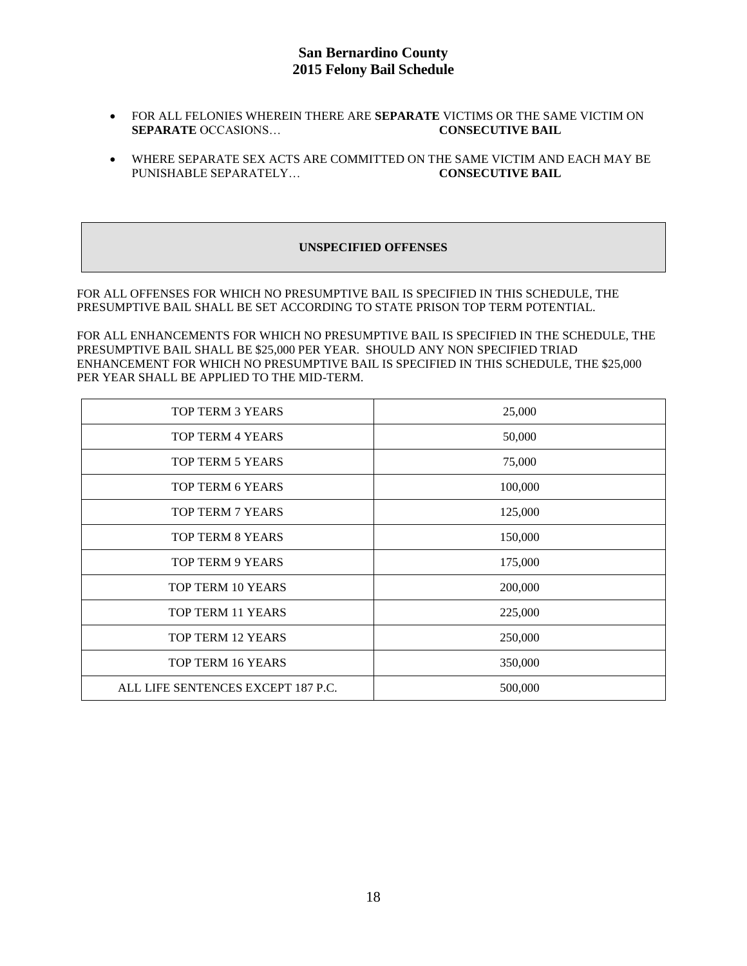- FOR ALL FELONIES WHEREIN THERE ARE **SEPARATE** VICTIMS OR THE SAME VICTIM ON **SEPARATE** OCCASIONS… **CONSECUTIVE BAIL**
- WHERE SEPARATE SEX ACTS ARE COMMITTED ON THE SAME VICTIM AND EACH MAY BE PUNISHABLE SEPARATELY… **CONSECUTIVE BAIL**

#### **UNSPECIFIED OFFENSES**

FOR ALL OFFENSES FOR WHICH NO PRESUMPTIVE BAIL IS SPECIFIED IN THIS SCHEDULE, THE PRESUMPTIVE BAIL SHALL BE SET ACCORDING TO STATE PRISON TOP TERM POTENTIAL.

FOR ALL ENHANCEMENTS FOR WHICH NO PRESUMPTIVE BAIL IS SPECIFIED IN THE SCHEDULE, THE PRESUMPTIVE BAIL SHALL BE \$25,000 PER YEAR. SHOULD ANY NON SPECIFIED TRIAD ENHANCEMENT FOR WHICH NO PRESUMPTIVE BAIL IS SPECIFIED IN THIS SCHEDULE, THE \$25,000 PER YEAR SHALL BE APPLIED TO THE MID-TERM.

| TOP TERM 3 YEARS                   | 25,000  |
|------------------------------------|---------|
| <b>TOP TERM 4 YEARS</b>            | 50,000  |
| TOP TERM 5 YEARS                   | 75,000  |
| TOP TERM 6 YEARS                   | 100,000 |
| <b>TOP TERM 7 YEARS</b>            | 125,000 |
| <b>TOP TERM 8 YEARS</b>            | 150,000 |
| <b>TOP TERM 9 YEARS</b>            | 175,000 |
| TOP TERM 10 YEARS                  | 200,000 |
| TOP TERM 11 YEARS                  | 225,000 |
| TOP TERM 12 YEARS                  | 250,000 |
| TOP TERM 16 YEARS                  | 350,000 |
| ALL LIFE SENTENCES EXCEPT 187 P.C. | 500,000 |